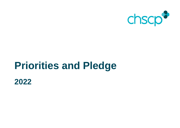

# **Priorities and Pledge**

**2022**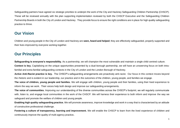Safeguarding partners have agreed six strategic priorities to underpin the work of the City and Hackney Safeguarding Children Partnership (CHSCP). These will be reviewed annually with the plan supporting implementation reviewed by both the CHSCP Executive and the Safeguarding Children Partnership Boards in both the City of London and Hackney. They provide focus to ensure the right conditions are in place for high quality safeguarding practice to thrive.

## **Our Vision**

Children and young people in the City of London and Hackney are **seen, heard and helped**; they are effectively safeguarded, properly supported and their lives improved by everyone working together.

# **Our Principles**

**Safeguarding is everyone's responsibility.** As a partnership, we will champion the most vulnerable and maintain a single child-centred culture.

**Context is key.** Capitalising on the unique opportunities presented by a dual-borough partnership, we will have an unswerving focus on both intrafamilial and extra-familial safeguarding contexts in the City of London and the London Borough of Hackney.

**Active Anti-Racist practice is key.** The CHSCP's safeguarding arrangements are proactively anti-racist. Our focus in this context moves beyond the rhetoric and is evident in our leadership, our practice and in the outcomes of the children, young people, and families we engage.

**The voice of children, young people and families.** We will engage with children, young people and their families, using their lived experience to inform the way we work. Their voices help both design and improve our safeguarding arrangements.

**The voice of communities.** Improving our understanding of the diverse communities across the CHSCP's footprint, we will regularly communicate with, listen to, and engage local communities in the work of the CHSCP. We will harness their experience to both inform and improve the way we safeguard and promote the welfare of children and young people.

**Enabling high quality safeguarding practice.** We will promote awareness, improve knowledge and work in a way that is characterised by an attitude of constructive professional challenge.

**Fostering a culture of transparency, learning and improvement.** We will enable the CHSCP to learn from the lived experience of children and continuously improve the quality of multi-agency practice**.**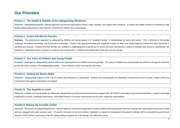## **Our Priorities**

#### **Priority 1: The Health & Stability of the Safeguarding Workforce**

**Outcome:** Safeguarding partners, relevant agencies and named organisations attract, retain, develop, and support their workforce. A healthy and stable workforce contributes to high quality safeguarding practice that improves outcomes for children and young people.

#### **Priority 2:** *Active* **Anti-Racist Practice**

**Outcome:** The partnership's approach to safeguarding children and young people in a 'racialised society' is characterised by active anti-racism. This is reflected in the people employed, the policies developed, and the practice undertaken. Practice that disproportionately and negatively impacts on Black and Global Majority children (and their outcomes) is identified and reduced. Children and their families are confident in challenging their experiences of racism and have mechanisms in place to escalate their concerns, practitioners are confident in challenging racism and there is evidence this is being done. Children and families tell us that they can see change.

## **Priority 3: The Voice of Children and Young People**

**Outcome:** Multi-agency safeguarding practice reflects the lived experience of children and young people. The voices of children and young people are central to all aspects of practice across the child's journey in the safeguarding system. These influence action and improve outcomes.

#### **Priority 4: Getting the Basics Right**

**Outcome:** Safeguarding practice in the City of London and Hackney is at least good. Children and young people are effectively protected from harm by early, robust, timely and coordinated multi-agency intervention and support.

#### **Priority 5: The Appetite to Learn**

**Outcome:** Children and young people are effectively safeguarded by professionals being actively engaged with the CHSCP's learning & improvement framework. Leaders encourage independent scrutiny, challenge performance, and embed lessons for practice improvement across their respective organisations.

## **Priority 6: Making the Invisible Visible**

**Outcome:** The activity of safeguarding partners, relevant agencies and named organisations makes children and young people who live in groups and communities that are less visible and less engaged with public services safer. Of specific relevance to our local context, legislation in respect of Unregistered Educational Settings (UES) is amended by government and the CHSCP obtains reassurance that the safeguarding arrangements of all settings are sufficiently robust.